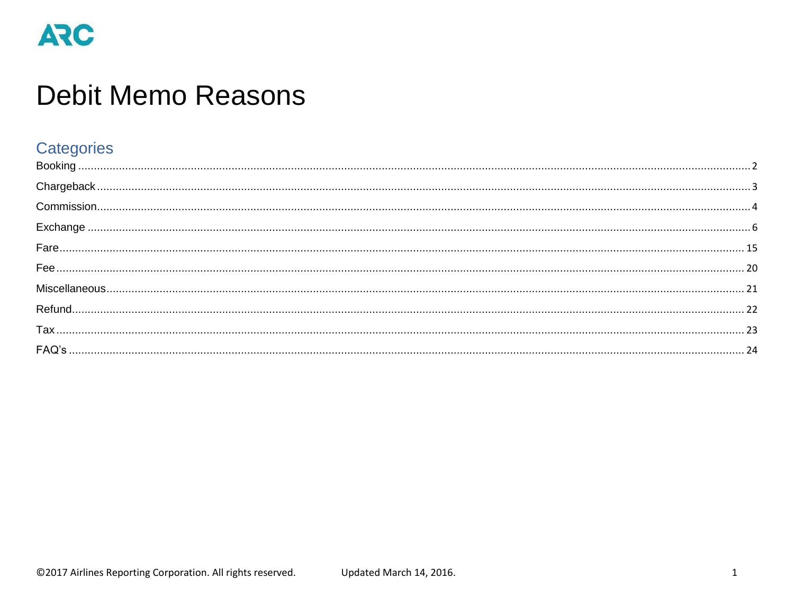# **Debit Memo Reasons**

#### Categories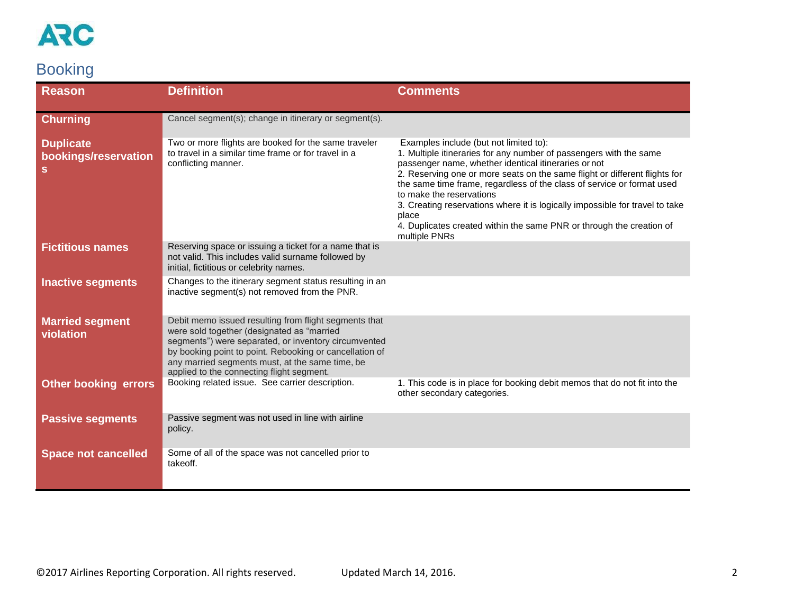

### <span id="page-1-0"></span>Booking

| <b>Reason</b>                                 | <b>Definition</b>                                                                                                                                                                                                                                                                                                      | <b>Comments</b>                                                                                                                                                                                                                                                                                                                                                                                                                                                                                                                            |
|-----------------------------------------------|------------------------------------------------------------------------------------------------------------------------------------------------------------------------------------------------------------------------------------------------------------------------------------------------------------------------|--------------------------------------------------------------------------------------------------------------------------------------------------------------------------------------------------------------------------------------------------------------------------------------------------------------------------------------------------------------------------------------------------------------------------------------------------------------------------------------------------------------------------------------------|
| <b>Churning</b>                               | Cancel segment(s); change in itinerary or segment(s).                                                                                                                                                                                                                                                                  |                                                                                                                                                                                                                                                                                                                                                                                                                                                                                                                                            |
| <b>Duplicate</b><br>bookings/reservation<br>s | Two or more flights are booked for the same traveler<br>to travel in a similar time frame or for travel in a<br>conflicting manner.                                                                                                                                                                                    | Examples include (but not limited to):<br>1. Multiple itineraries for any number of passengers with the same<br>passenger name, whether identical itineraries or not<br>2. Reserving one or more seats on the same flight or different flights for<br>the same time frame, regardless of the class of service or format used<br>to make the reservations<br>3. Creating reservations where it is logically impossible for travel to take<br>place<br>4. Duplicates created within the same PNR or through the creation of<br>multiple PNRs |
| <b>Fictitious names</b>                       | Reserving space or issuing a ticket for a name that is<br>not valid. This includes valid surname followed by<br>initial, fictitious or celebrity names.                                                                                                                                                                |                                                                                                                                                                                                                                                                                                                                                                                                                                                                                                                                            |
| <b>Inactive segments</b>                      | Changes to the itinerary segment status resulting in an<br>inactive segment(s) not removed from the PNR.                                                                                                                                                                                                               |                                                                                                                                                                                                                                                                                                                                                                                                                                                                                                                                            |
| <b>Married segment</b><br>violation           | Debit memo issued resulting from flight segments that<br>were sold together (designated as "married<br>segments") were separated, or inventory circumvented<br>by booking point to point. Rebooking or cancellation of<br>any married segments must, at the same time, be<br>applied to the connecting flight segment. |                                                                                                                                                                                                                                                                                                                                                                                                                                                                                                                                            |
| <b>Other booking errors</b>                   | Booking related issue. See carrier description.                                                                                                                                                                                                                                                                        | 1. This code is in place for booking debit memos that do not fit into the<br>other secondary categories.                                                                                                                                                                                                                                                                                                                                                                                                                                   |
| <b>Passive segments</b>                       | Passive segment was not used in line with airline<br>policy.                                                                                                                                                                                                                                                           |                                                                                                                                                                                                                                                                                                                                                                                                                                                                                                                                            |
| <b>Space not cancelled</b>                    | Some of all of the space was not cancelled prior to<br>takeoff.                                                                                                                                                                                                                                                        |                                                                                                                                                                                                                                                                                                                                                                                                                                                                                                                                            |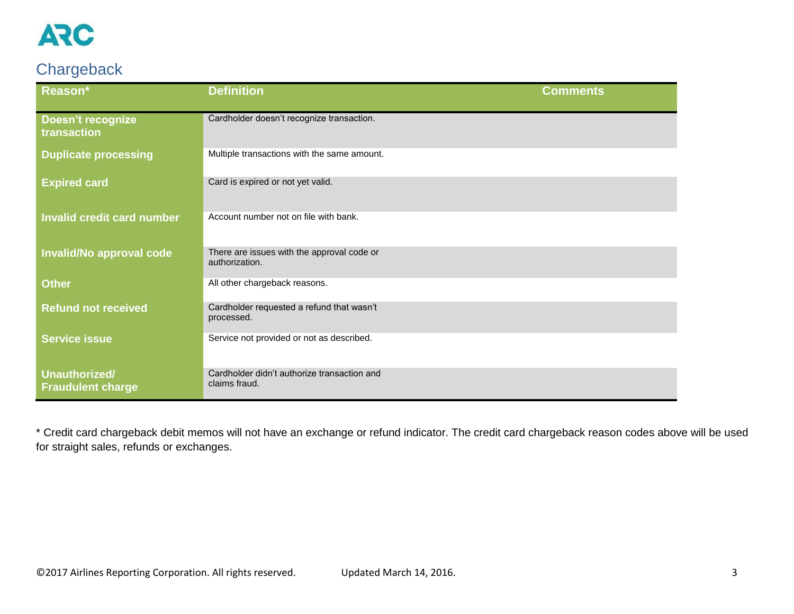

### <span id="page-2-0"></span>**Chargeback**

| Reason*                                          | <b>Definition</b>                                            | <b>Comments</b> |
|--------------------------------------------------|--------------------------------------------------------------|-----------------|
| <b>Doesn't recognize</b><br>transaction          | Cardholder doesn't recognize transaction.                    |                 |
| <b>Duplicate processing</b>                      | Multiple transactions with the same amount.                  |                 |
| <b>Expired card</b>                              | Card is expired or not yet valid.                            |                 |
| <b>Invalid credit card number</b>                | Account number not on file with bank.                        |                 |
| Invalid/No approval code                         | There are issues with the approval code or<br>authorization. |                 |
| <b>Other</b>                                     | All other chargeback reasons.                                |                 |
| <b>Refund not received</b>                       | Cardholder requested a refund that wasn't<br>processed.      |                 |
| <b>Service issue</b>                             | Service not provided or not as described.                    |                 |
| <b>Unauthorized/</b><br><b>Fraudulent charge</b> | Cardholder didn't authorize transaction and<br>claims fraud. |                 |

\* Credit card chargeback debit memos will not have an exchange or refund indicator. The credit card chargeback reason codes above will be used for straight sales, refunds or exchanges.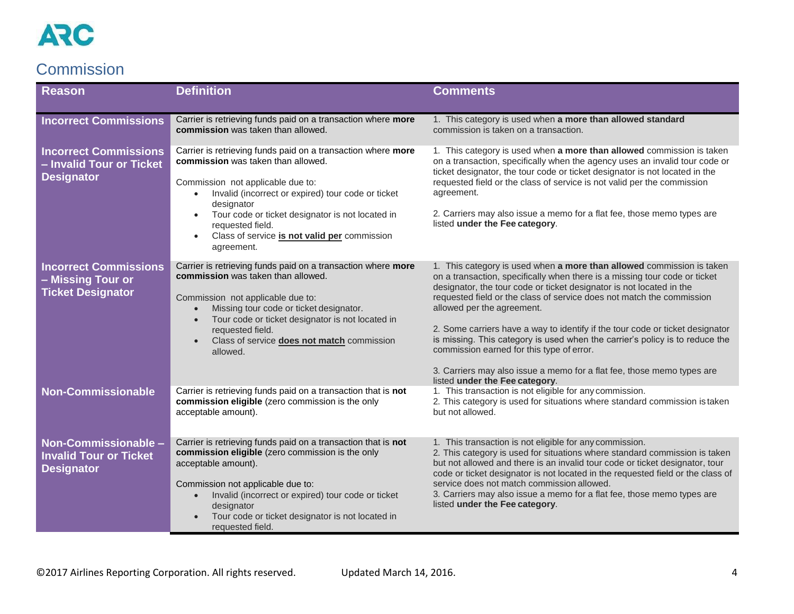#### <span id="page-3-0"></span>**Commission**

| <b>Reason</b>                                                                 | <b>Definition</b>                                                                                                                                                                                                                                                                                                                                              | <b>Comments</b>                                                                                                                                                                                                                                                                                                                                                                                                                                                                                                                                                                                                                                              |
|-------------------------------------------------------------------------------|----------------------------------------------------------------------------------------------------------------------------------------------------------------------------------------------------------------------------------------------------------------------------------------------------------------------------------------------------------------|--------------------------------------------------------------------------------------------------------------------------------------------------------------------------------------------------------------------------------------------------------------------------------------------------------------------------------------------------------------------------------------------------------------------------------------------------------------------------------------------------------------------------------------------------------------------------------------------------------------------------------------------------------------|
| <b>Incorrect Commissions</b>                                                  | Carrier is retrieving funds paid on a transaction where more<br>commission was taken than allowed.                                                                                                                                                                                                                                                             | 1. This category is used when a more than allowed standard<br>commission is taken on a transaction.                                                                                                                                                                                                                                                                                                                                                                                                                                                                                                                                                          |
| <b>Incorrect Commissions</b><br>- Invalid Tour or Ticket<br><b>Designator</b> | Carrier is retrieving funds paid on a transaction where more<br>commission was taken than allowed.<br>Commission not applicable due to:<br>Invalid (incorrect or expired) tour code or ticket<br>$\bullet$<br>designator<br>Tour code or ticket designator is not located in<br>requested field.<br>Class of service is not valid per commission<br>agreement. | 1. This category is used when a more than allowed commission is taken<br>on a transaction, specifically when the agency uses an invalid tour code or<br>ticket designator, the tour code or ticket designator is not located in the<br>requested field or the class of service is not valid per the commission<br>agreement.<br>2. Carriers may also issue a memo for a flat fee, those memo types are<br>listed under the Fee category.                                                                                                                                                                                                                     |
| <b>Incorrect Commissions</b><br>- Missing Tour or<br><b>Ticket Designator</b> | Carrier is retrieving funds paid on a transaction where more<br>commission was taken than allowed.<br>Commission not applicable due to:<br>Missing tour code or ticket designator.<br>$\bullet$<br>Tour code or ticket designator is not located in<br>requested field.<br>Class of service does not match commission<br>allowed.                              | 1. This category is used when a more than allowed commission is taken<br>on a transaction, specifically when there is a missing tour code or ticket<br>designator, the tour code or ticket designator is not located in the<br>requested field or the class of service does not match the commission<br>allowed per the agreement.<br>2. Some carriers have a way to identify if the tour code or ticket designator<br>is missing. This category is used when the carrier's policy is to reduce the<br>commission earned for this type of error.<br>3. Carriers may also issue a memo for a flat fee, those memo types are<br>listed under the Fee category. |
| <b>Non-Commissionable</b>                                                     | Carrier is retrieving funds paid on a transaction that is not<br>commission eligible (zero commission is the only<br>acceptable amount).                                                                                                                                                                                                                       | 1. This transaction is not eligible for any commission.<br>2. This category is used for situations where standard commission is taken<br>but not allowed.                                                                                                                                                                                                                                                                                                                                                                                                                                                                                                    |
| Non-Commissionable -<br><b>Invalid Tour or Ticket</b><br><b>Designator</b>    | Carrier is retrieving funds paid on a transaction that is not<br>commission eligible (zero commission is the only<br>acceptable amount).<br>Commission not applicable due to:<br>Invalid (incorrect or expired) tour code or ticket<br>$\bullet$<br>designator<br>Tour code or ticket designator is not located in<br>requested field.                         | 1. This transaction is not eligible for any commission.<br>2. This category is used for situations where standard commission is taken<br>but not allowed and there is an invalid tour code or ticket designator, tour<br>code or ticket designator is not located in the requested field or the class of<br>service does not match commission allowed.<br>3. Carriers may also issue a memo for a flat fee, those memo types are<br>listed under the Fee category.                                                                                                                                                                                           |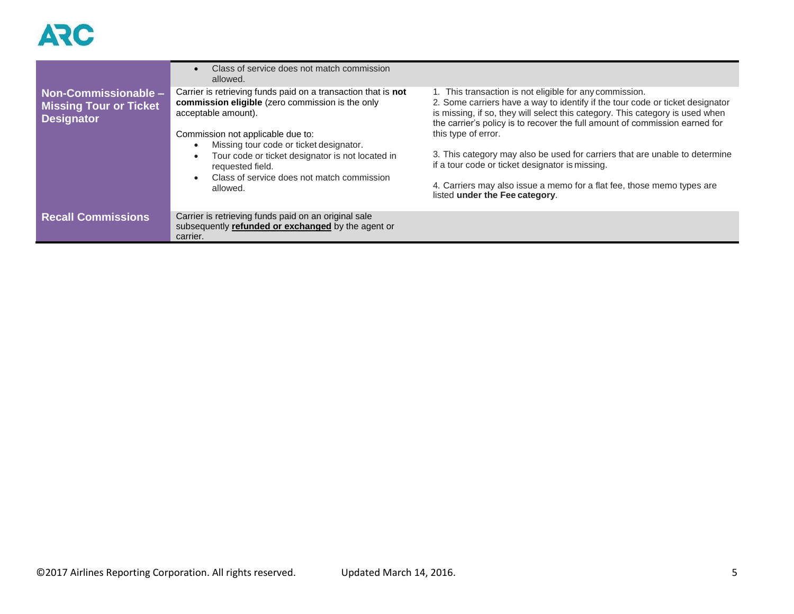|                                                                            | Class of service does not match commission<br>allowed.                                                                                   |                                                                                                                                                                                                                                                                                                          |
|----------------------------------------------------------------------------|------------------------------------------------------------------------------------------------------------------------------------------|----------------------------------------------------------------------------------------------------------------------------------------------------------------------------------------------------------------------------------------------------------------------------------------------------------|
| Non-Commissionable -<br><b>Missing Tour or Ticket</b><br><b>Designator</b> | Carrier is retrieving funds paid on a transaction that is not<br>commission eligible (zero commission is the only<br>acceptable amount). | 1. This transaction is not eligible for any commission.<br>2. Some carriers have a way to identify if the tour code or ticket designator<br>is missing, if so, they will select this category. This category is used when<br>the carrier's policy is to recover the full amount of commission earned for |
|                                                                            | Commission not applicable due to:<br>Missing tour code or ticket designator.                                                             | this type of error.                                                                                                                                                                                                                                                                                      |
|                                                                            | Tour code or ticket designator is not located in<br>requested field.                                                                     | 3. This category may also be used for carriers that are unable to determine<br>if a tour code or ticket designator is missing.                                                                                                                                                                           |
|                                                                            | Class of service does not match commission<br>allowed.                                                                                   | 4. Carriers may also issue a memo for a flat fee, those memo types are<br>listed under the Fee category.                                                                                                                                                                                                 |
| <b>Recall Commissions</b>                                                  | Carrier is retrieving funds paid on an original sale<br>subsequently refunded or exchanged by the agent or<br>carrier.                   |                                                                                                                                                                                                                                                                                                          |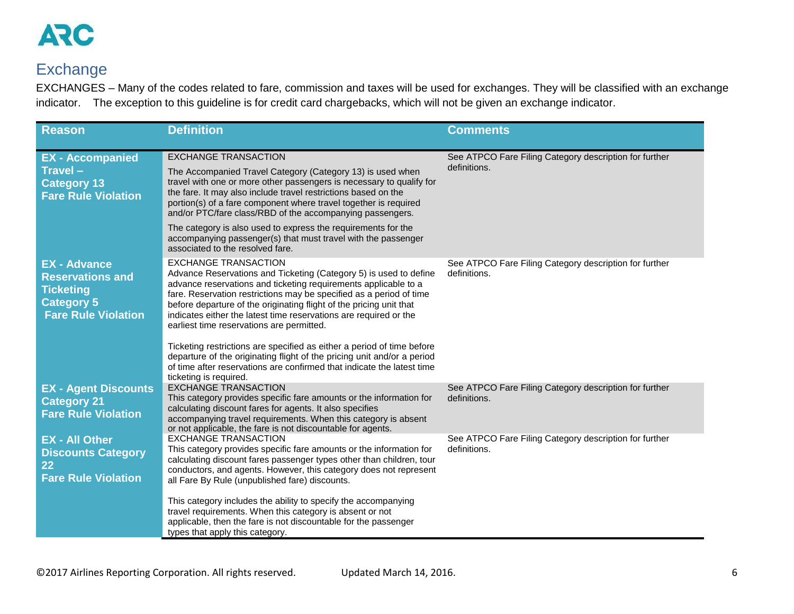

#### <span id="page-5-0"></span>**Exchange**

EXCHANGES – Many of the codes related to fare, commission and taxes will be used for exchanges. They will be classified with an exchange indicator. The exception to this guideline is for credit card chargebacks, which will not be given an exchange indicator.

| <b>Reason</b>                                                                                                         | <b>Definition</b>                                                                                                                                                                                                                                                                                                                                                                                                                                                                                                                                                                                                                                                                                                                | <b>Comments</b>                                                        |
|-----------------------------------------------------------------------------------------------------------------------|----------------------------------------------------------------------------------------------------------------------------------------------------------------------------------------------------------------------------------------------------------------------------------------------------------------------------------------------------------------------------------------------------------------------------------------------------------------------------------------------------------------------------------------------------------------------------------------------------------------------------------------------------------------------------------------------------------------------------------|------------------------------------------------------------------------|
| <b>EX</b> - Accompanied<br>Travel-<br><b>Category 13</b><br><b>Fare Rule Violation</b>                                | <b>EXCHANGE TRANSACTION</b><br>The Accompanied Travel Category (Category 13) is used when<br>travel with one or more other passengers is necessary to qualify for<br>the fare. It may also include travel restrictions based on the<br>portion(s) of a fare component where travel together is required<br>and/or PTC/fare class/RBD of the accompanying passengers.<br>The category is also used to express the requirements for the<br>accompanying passenger(s) that must travel with the passenger                                                                                                                                                                                                                           | See ATPCO Fare Filing Category description for further<br>definitions. |
| <b>EX - Advance</b><br><b>Reservations and</b><br><b>Ticketing</b><br><b>Category 5</b><br><b>Fare Rule Violation</b> | associated to the resolved fare.<br><b>EXCHANGE TRANSACTION</b><br>Advance Reservations and Ticketing (Category 5) is used to define<br>advance reservations and ticketing requirements applicable to a<br>fare. Reservation restrictions may be specified as a period of time<br>before departure of the originating flight of the pricing unit that<br>indicates either the latest time reservations are required or the<br>earliest time reservations are permitted.<br>Ticketing restrictions are specified as either a period of time before<br>departure of the originating flight of the pricing unit and/or a period<br>of time after reservations are confirmed that indicate the latest time<br>ticketing is required. | See ATPCO Fare Filing Category description for further<br>definitions. |
| <b>EX - Agent Discounts</b><br><b>Category 21</b><br><b>Fare Rule Violation</b>                                       | <b>EXCHANGE TRANSACTION</b><br>This category provides specific fare amounts or the information for<br>calculating discount fares for agents. It also specifies<br>accompanying travel requirements. When this category is absent<br>or not applicable, the fare is not discountable for agents.                                                                                                                                                                                                                                                                                                                                                                                                                                  | See ATPCO Fare Filing Category description for further<br>definitions. |
| <b>EX - All Other</b><br><b>Discounts Category</b><br>22<br><b>Fare Rule Violation</b>                                | <b>EXCHANGE TRANSACTION</b><br>This category provides specific fare amounts or the information for<br>calculating discount fares passenger types other than children, tour<br>conductors, and agents. However, this category does not represent<br>all Fare By Rule (unpublished fare) discounts.                                                                                                                                                                                                                                                                                                                                                                                                                                | See ATPCO Fare Filing Category description for further<br>definitions. |
|                                                                                                                       | This category includes the ability to specify the accompanying<br>travel requirements. When this category is absent or not<br>applicable, then the fare is not discountable for the passenger<br>types that apply this category.                                                                                                                                                                                                                                                                                                                                                                                                                                                                                                 |                                                                        |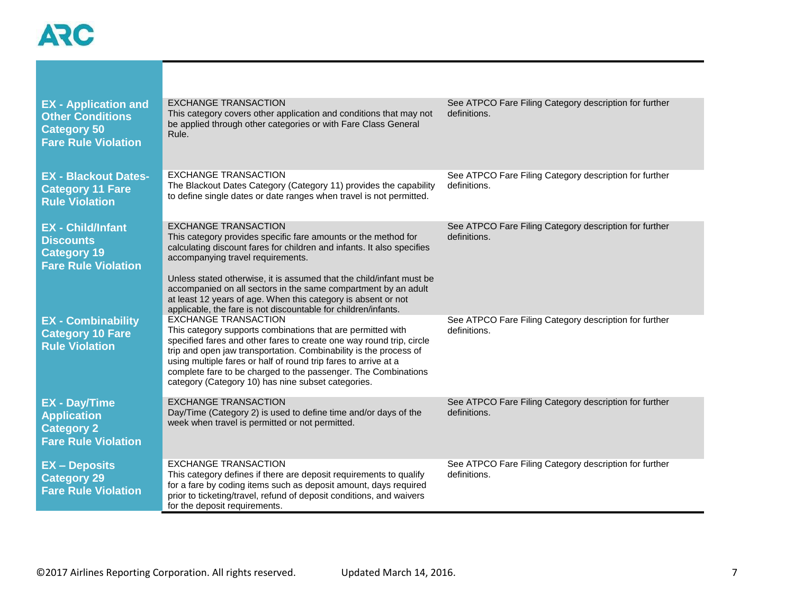| <b>EX</b> - Application and<br><b>Other Conditions</b><br><b>Category 50</b><br><b>Fare Rule Violation</b> | <b>EXCHANGE TRANSACTION</b><br>This category covers other application and conditions that may not<br>be applied through other categories or with Fare Class General<br>Rule.                                                                                                                                                                                                                                                       | See ATPCO Fare Filing Category description for further<br>definitions. |
|------------------------------------------------------------------------------------------------------------|------------------------------------------------------------------------------------------------------------------------------------------------------------------------------------------------------------------------------------------------------------------------------------------------------------------------------------------------------------------------------------------------------------------------------------|------------------------------------------------------------------------|
| <b>EX - Blackout Dates-</b><br><b>Category 11 Fare</b><br><b>Rule Violation</b>                            | <b>EXCHANGE TRANSACTION</b><br>The Blackout Dates Category (Category 11) provides the capability<br>to define single dates or date ranges when travel is not permitted.                                                                                                                                                                                                                                                            | See ATPCO Fare Filing Category description for further<br>definitions. |
| <b>EX</b> - Child/Infant<br><b>Discounts</b><br><b>Category 19</b><br><b>Fare Rule Violation</b>           | <b>EXCHANGE TRANSACTION</b><br>This category provides specific fare amounts or the method for<br>calculating discount fares for children and infants. It also specifies<br>accompanying travel requirements.                                                                                                                                                                                                                       | See ATPCO Fare Filing Category description for further<br>definitions. |
|                                                                                                            | Unless stated otherwise, it is assumed that the child/infant must be<br>accompanied on all sectors in the same compartment by an adult<br>at least 12 years of age. When this category is absent or not<br>applicable, the fare is not discountable for children/infants.                                                                                                                                                          |                                                                        |
| <b>EX</b> - Combinability<br><b>Category 10 Fare</b><br><b>Rule Violation</b>                              | <b>EXCHANGE TRANSACTION</b><br>This category supports combinations that are permitted with<br>specified fares and other fares to create one way round trip, circle<br>trip and open jaw transportation. Combinability is the process of<br>using multiple fares or half of round trip fares to arrive at a<br>complete fare to be charged to the passenger. The Combinations<br>category (Category 10) has nine subset categories. | See ATPCO Fare Filing Category description for further<br>definitions. |
| <b>EX - Day/Time</b><br><b>Application</b><br><b>Category 2</b><br><b>Fare Rule Violation</b>              | <b>EXCHANGE TRANSACTION</b><br>Day/Time (Category 2) is used to define time and/or days of the<br>week when travel is permitted or not permitted.                                                                                                                                                                                                                                                                                  | See ATPCO Fare Filing Category description for further<br>definitions. |
| <b>EX - Deposits</b><br><b>Category 29</b><br><b>Fare Rule Violation</b>                                   | <b>EXCHANGE TRANSACTION</b><br>This category defines if there are deposit requirements to qualify<br>for a fare by coding items such as deposit amount, days required<br>prior to ticketing/travel, refund of deposit conditions, and waivers<br>for the deposit requirements.                                                                                                                                                     | See ATPCO Fare Filing Category description for further<br>definitions. |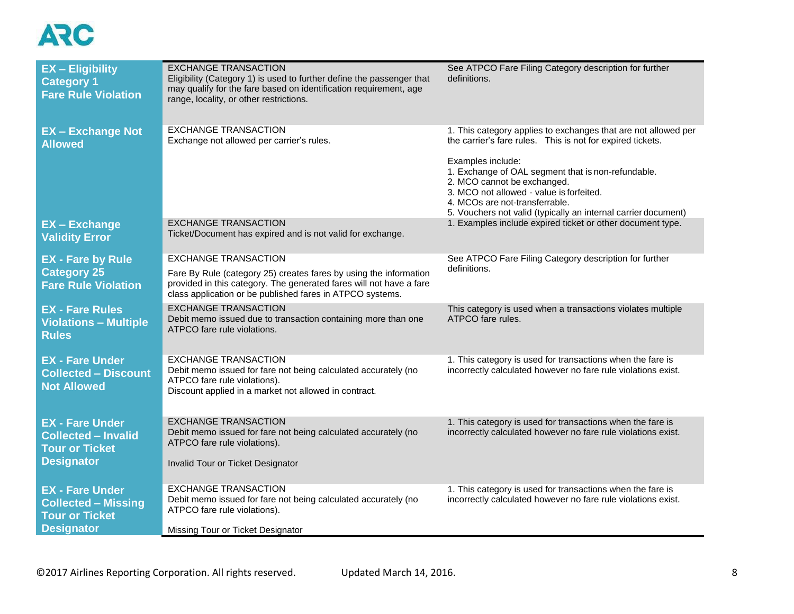| <b>EX</b> - Eligibility<br><b>Category 1</b><br><b>Fare Rule Violation</b>                         | <b>EXCHANGE TRANSACTION</b><br>Eligibility (Category 1) is used to further define the passenger that<br>may qualify for the fare based on identification requirement, age<br>range, locality, or other restrictions.                 | See ATPCO Fare Filing Category description for further<br>definitions.                                                                                                                                                                                                                                                                                                                 |
|----------------------------------------------------------------------------------------------------|--------------------------------------------------------------------------------------------------------------------------------------------------------------------------------------------------------------------------------------|----------------------------------------------------------------------------------------------------------------------------------------------------------------------------------------------------------------------------------------------------------------------------------------------------------------------------------------------------------------------------------------|
| <b>EX-Exchange Not</b><br><b>Allowed</b>                                                           | <b>EXCHANGE TRANSACTION</b><br>Exchange not allowed per carrier's rules.                                                                                                                                                             | 1. This category applies to exchanges that are not allowed per<br>the carrier's fare rules. This is not for expired tickets.<br>Examples include:<br>1. Exchange of OAL segment that is non-refundable.<br>2. MCO cannot be exchanged.<br>3. MCO not allowed - value is forfeited.<br>4. MCOs are not-transferrable.<br>5. Vouchers not valid (typically an internal carrier document) |
| <b>EX-Exchange</b><br><b>Validity Error</b>                                                        | <b>EXCHANGE TRANSACTION</b><br>Ticket/Document has expired and is not valid for exchange.                                                                                                                                            | 1. Examples include expired ticket or other document type.                                                                                                                                                                                                                                                                                                                             |
| <b>EX - Fare by Rule</b><br><b>Category 25</b><br><b>Fare Rule Violation</b>                       | <b>EXCHANGE TRANSACTION</b><br>Fare By Rule (category 25) creates fares by using the information<br>provided in this category. The generated fares will not have a fare<br>class application or be published fares in ATPCO systems. | See ATPCO Fare Filing Category description for further<br>definitions.                                                                                                                                                                                                                                                                                                                 |
| <b>EX - Fare Rules</b><br><b>Violations - Multiple</b><br><b>Rules</b>                             | <b>EXCHANGE TRANSACTION</b><br>Debit memo issued due to transaction containing more than one<br>ATPCO fare rule violations.                                                                                                          | This category is used when a transactions violates multiple<br>ATPCO fare rules.                                                                                                                                                                                                                                                                                                       |
| <b>EX - Fare Under</b><br><b>Collected - Discount</b><br><b>Not Allowed</b>                        | <b>EXCHANGE TRANSACTION</b><br>Debit memo issued for fare not being calculated accurately (no<br>ATPCO fare rule violations).<br>Discount applied in a market not allowed in contract.                                               | 1. This category is used for transactions when the fare is<br>incorrectly calculated however no fare rule violations exist.                                                                                                                                                                                                                                                            |
| <b>EX - Fare Under</b><br><b>Collected - Invalid</b><br><b>Tour or Ticket</b><br><b>Designator</b> | <b>EXCHANGE TRANSACTION</b><br>Debit memo issued for fare not being calculated accurately (no<br>ATPCO fare rule violations).<br>Invalid Tour or Ticket Designator                                                                   | 1. This category is used for transactions when the fare is<br>incorrectly calculated however no fare rule violations exist.                                                                                                                                                                                                                                                            |
| <b>EX - Fare Under</b><br><b>Collected - Missing</b><br><b>Tour or Ticket</b><br><b>Designator</b> | <b>EXCHANGE TRANSACTION</b><br>Debit memo issued for fare not being calculated accurately (no<br>ATPCO fare rule violations).<br>Missing Tour or Ticket Designator                                                                   | 1. This category is used for transactions when the fare is<br>incorrectly calculated however no fare rule violations exist.                                                                                                                                                                                                                                                            |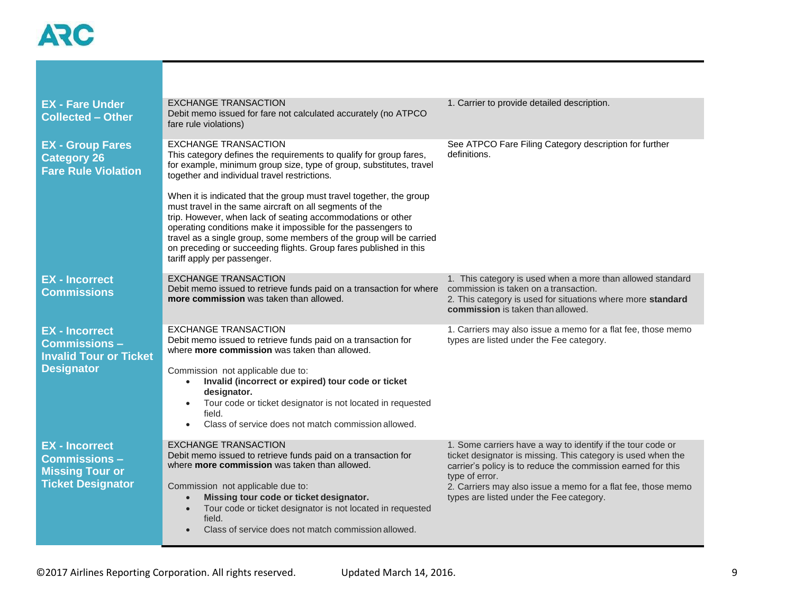| <b>EX - Fare Under</b><br><b>Collected - Other</b>                                                  | <b>EXCHANGE TRANSACTION</b><br>Debit memo issued for fare not calculated accurately (no ATPCO<br>fare rule violations)                                                                                                                                                                                                                                                                                                                    | 1. Carrier to provide detailed description.                                                                                                                                                                                                                                                                               |
|-----------------------------------------------------------------------------------------------------|-------------------------------------------------------------------------------------------------------------------------------------------------------------------------------------------------------------------------------------------------------------------------------------------------------------------------------------------------------------------------------------------------------------------------------------------|---------------------------------------------------------------------------------------------------------------------------------------------------------------------------------------------------------------------------------------------------------------------------------------------------------------------------|
| <b>EX - Group Fares</b><br><b>Category 26</b><br><b>Fare Rule Violation</b>                         | <b>EXCHANGE TRANSACTION</b><br>This category defines the requirements to qualify for group fares,<br>for example, minimum group size, type of group, substitutes, travel<br>together and individual travel restrictions.                                                                                                                                                                                                                  | See ATPCO Fare Filing Category description for further<br>definitions.                                                                                                                                                                                                                                                    |
|                                                                                                     | When it is indicated that the group must travel together, the group<br>must travel in the same aircraft on all segments of the<br>trip. However, when lack of seating accommodations or other<br>operating conditions make it impossible for the passengers to<br>travel as a single group, some members of the group will be carried<br>on preceding or succeeding flights. Group fares published in this<br>tariff apply per passenger. |                                                                                                                                                                                                                                                                                                                           |
| <b>EX - Incorrect</b><br><b>Commissions</b>                                                         | <b>EXCHANGE TRANSACTION</b><br>Debit memo issued to retrieve funds paid on a transaction for where<br>more commission was taken than allowed.                                                                                                                                                                                                                                                                                             | 1. This category is used when a more than allowed standard<br>commission is taken on a transaction.<br>2. This category is used for situations where more standard<br>commission is taken than allowed.                                                                                                                   |
| <b>EX</b> - Incorrect<br><b>Commissions -</b><br><b>Invalid Tour or Ticket</b><br><b>Designator</b> | <b>EXCHANGE TRANSACTION</b><br>Debit memo issued to retrieve funds paid on a transaction for<br>where more commission was taken than allowed.<br>Commission not applicable due to:<br>Invalid (incorrect or expired) tour code or ticket<br>$\bullet$<br>designator.<br>Tour code or ticket designator is not located in requested<br>field.<br>Class of service does not match commission allowed.                                       | 1. Carriers may also issue a memo for a flat fee, those memo<br>types are listed under the Fee category.                                                                                                                                                                                                                  |
| <b>EX</b> - Incorrect<br><b>Commissions -</b><br><b>Missing Tour or</b><br><b>Ticket Designator</b> | <b>EXCHANGE TRANSACTION</b><br>Debit memo issued to retrieve funds paid on a transaction for<br>where more commission was taken than allowed.<br>Commission not applicable due to:<br>Missing tour code or ticket designator.<br>Tour code or ticket designator is not located in requested<br>$\bullet$<br>field.<br>Class of service does not match commission allowed.                                                                 | 1. Some carriers have a way to identify if the tour code or<br>ticket designator is missing. This category is used when the<br>carrier's policy is to reduce the commission earned for this<br>type of error.<br>2. Carriers may also issue a memo for a flat fee, those memo<br>types are listed under the Fee category. |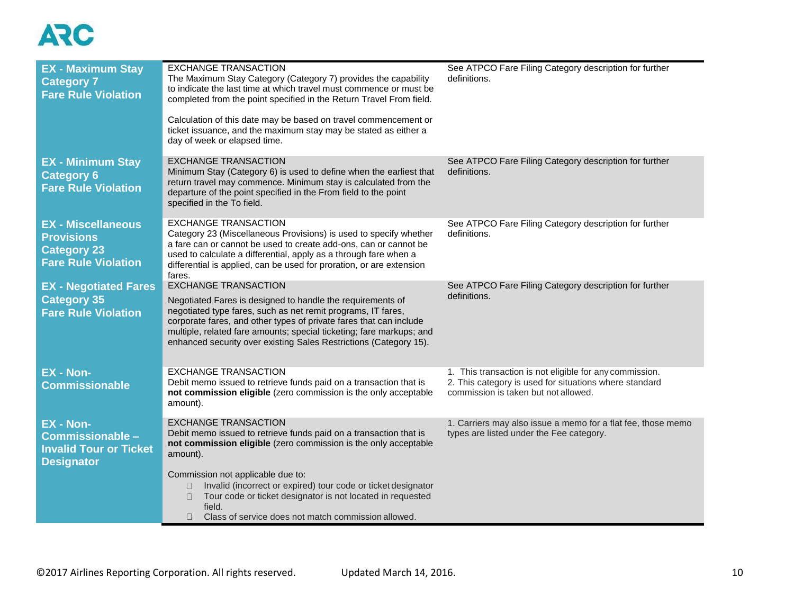| <b>EX - Maximum Stay</b><br><b>Category 7</b><br><b>Fare Rule Violation</b>                        | <b>EXCHANGE TRANSACTION</b><br>The Maximum Stay Category (Category 7) provides the capability<br>to indicate the last time at which travel must commence or must be<br>completed from the point specified in the Return Travel From field.<br>Calculation of this date may be based on travel commencement or<br>ticket issuance, and the maximum stay may be stated as either a<br>day of week or elapsed time. | See ATPCO Fare Filing Category description for further<br>definitions.                                                                                    |
|----------------------------------------------------------------------------------------------------|------------------------------------------------------------------------------------------------------------------------------------------------------------------------------------------------------------------------------------------------------------------------------------------------------------------------------------------------------------------------------------------------------------------|-----------------------------------------------------------------------------------------------------------------------------------------------------------|
| <b>EX - Minimum Stay</b><br><b>Category 6</b><br><b>Fare Rule Violation</b>                        | <b>EXCHANGE TRANSACTION</b><br>Minimum Stay (Category 6) is used to define when the earliest that<br>return travel may commence. Minimum stay is calculated from the<br>departure of the point specified in the From field to the point<br>specified in the To field.                                                                                                                                            | See ATPCO Fare Filing Category description for further<br>definitions.                                                                                    |
| <b>EX - Miscellaneous</b><br><b>Provisions</b><br><b>Category 23</b><br><b>Fare Rule Violation</b> | <b>EXCHANGE TRANSACTION</b><br>Category 23 (Miscellaneous Provisions) is used to specify whether<br>a fare can or cannot be used to create add-ons, can or cannot be<br>used to calculate a differential, apply as a through fare when a<br>differential is applied, can be used for proration, or are extension<br>fares.                                                                                       | See ATPCO Fare Filing Category description for further<br>definitions.                                                                                    |
| <b>EX</b> - Negotiated Fares<br><b>Category 35</b><br><b>Fare Rule Violation</b>                   | <b>EXCHANGE TRANSACTION</b><br>Negotiated Fares is designed to handle the requirements of<br>negotiated type fares, such as net remit programs, IT fares,<br>corporate fares, and other types of private fares that can include<br>multiple, related fare amounts; special ticketing; fare markups; and<br>enhanced security over existing Sales Restrictions (Category 15).                                     | See ATPCO Fare Filing Category description for further<br>definitions.                                                                                    |
| <b>EX - Non-</b><br><b>Commissionable</b>                                                          | <b>EXCHANGE TRANSACTION</b><br>Debit memo issued to retrieve funds paid on a transaction that is<br>not commission eligible (zero commission is the only acceptable<br>amount).                                                                                                                                                                                                                                  | 1. This transaction is not eligible for any commission.<br>2. This category is used for situations where standard<br>commission is taken but not allowed. |
| EX - Non-<br>Commissionable -<br><b>Invalid Tour or Ticket</b><br><b>Designator</b>                | <b>EXCHANGE TRANSACTION</b><br>Debit memo issued to retrieve funds paid on a transaction that is<br>not commission eligible (zero commission is the only acceptable<br>amount).<br>Commission not applicable due to:<br>Invalid (incorrect or expired) tour code or ticket designator<br>Tour code or ticket designator is not located in requested<br>0<br>field.                                               | 1. Carriers may also issue a memo for a flat fee, those memo<br>types are listed under the Fee category.                                                  |
|                                                                                                    | Class of service does not match commission allowed.<br>П.                                                                                                                                                                                                                                                                                                                                                        |                                                                                                                                                           |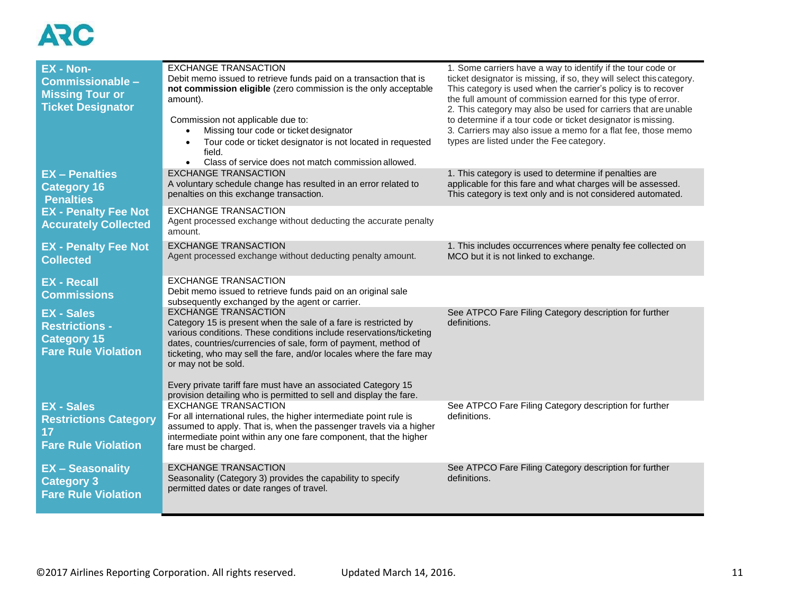| <b>EX - Non-</b><br>Commissionable -<br><b>Missing Tour or</b><br><b>Ticket Designator</b>     | <b>EXCHANGE TRANSACTION</b><br>Debit memo issued to retrieve funds paid on a transaction that is<br>not commission eligible (zero commission is the only acceptable<br>amount).<br>Commission not applicable due to:<br>Missing tour code or ticket designator<br>Tour code or ticket designator is not located in requested<br>field.<br>Class of service does not match commission allowed.<br>$\bullet$   | 1. Some carriers have a way to identify if the tour code or<br>ticket designator is missing, if so, they will select this category.<br>This category is used when the carrier's policy is to recover<br>the full amount of commission earned for this type of error.<br>2. This category may also be used for carriers that are unable<br>to determine if a tour code or ticket designator is missing.<br>3. Carriers may also issue a memo for a flat fee, those memo<br>types are listed under the Fee category. |
|------------------------------------------------------------------------------------------------|--------------------------------------------------------------------------------------------------------------------------------------------------------------------------------------------------------------------------------------------------------------------------------------------------------------------------------------------------------------------------------------------------------------|--------------------------------------------------------------------------------------------------------------------------------------------------------------------------------------------------------------------------------------------------------------------------------------------------------------------------------------------------------------------------------------------------------------------------------------------------------------------------------------------------------------------|
| <b>EX - Penalties</b><br><b>Category 16</b><br><b>Penalties</b>                                | <b>EXCHANGE TRANSACTION</b><br>A voluntary schedule change has resulted in an error related to<br>penalties on this exchange transaction.                                                                                                                                                                                                                                                                    | 1. This category is used to determine if penalties are<br>applicable for this fare and what charges will be assessed.<br>This category is text only and is not considered automated.                                                                                                                                                                                                                                                                                                                               |
| <b>EX - Penalty Fee Not</b><br><b>Accurately Collected</b>                                     | <b>EXCHANGE TRANSACTION</b><br>Agent processed exchange without deducting the accurate penalty<br>amount.                                                                                                                                                                                                                                                                                                    |                                                                                                                                                                                                                                                                                                                                                                                                                                                                                                                    |
| <b>EX - Penalty Fee Not</b><br><b>Collected</b>                                                | <b>EXCHANGE TRANSACTION</b><br>Agent processed exchange without deducting penalty amount.                                                                                                                                                                                                                                                                                                                    | 1. This includes occurrences where penalty fee collected on<br>MCO but it is not linked to exchange.                                                                                                                                                                                                                                                                                                                                                                                                               |
| <b>EX - Recall</b><br><b>Commissions</b>                                                       | <b>EXCHANGE TRANSACTION</b><br>Debit memo issued to retrieve funds paid on an original sale<br>subsequently exchanged by the agent or carrier.                                                                                                                                                                                                                                                               |                                                                                                                                                                                                                                                                                                                                                                                                                                                                                                                    |
| <b>EX - Sales</b><br><b>Restrictions -</b><br><b>Category 15</b><br><b>Fare Rule Violation</b> | <b>EXCHANGE TRANSACTION</b><br>Category 15 is present when the sale of a fare is restricted by<br>various conditions. These conditions include reservations/ticketing<br>dates, countries/currencies of sale, form of payment, method of<br>ticketing, who may sell the fare, and/or locales where the fare may<br>or may not be sold.                                                                       | See ATPCO Fare Filing Category description for further<br>definitions.                                                                                                                                                                                                                                                                                                                                                                                                                                             |
| <b>EX - Sales</b><br><b>Restrictions Category</b><br>17<br><b>Fare Rule Violation</b>          | Every private tariff fare must have an associated Category 15<br>provision detailing who is permitted to sell and display the fare.<br><b>EXCHANGE TRANSACTION</b><br>For all international rules, the higher intermediate point rule is<br>assumed to apply. That is, when the passenger travels via a higher<br>intermediate point within any one fare component, that the higher<br>fare must be charged. | See ATPCO Fare Filing Category description for further<br>definitions.                                                                                                                                                                                                                                                                                                                                                                                                                                             |
| <b>EX-Seasonality</b><br><b>Category 3</b><br><b>Fare Rule Violation</b>                       | <b>EXCHANGE TRANSACTION</b><br>Seasonality (Category 3) provides the capability to specify<br>permitted dates or date ranges of travel.                                                                                                                                                                                                                                                                      | See ATPCO Fare Filing Category description for further<br>definitions.                                                                                                                                                                                                                                                                                                                                                                                                                                             |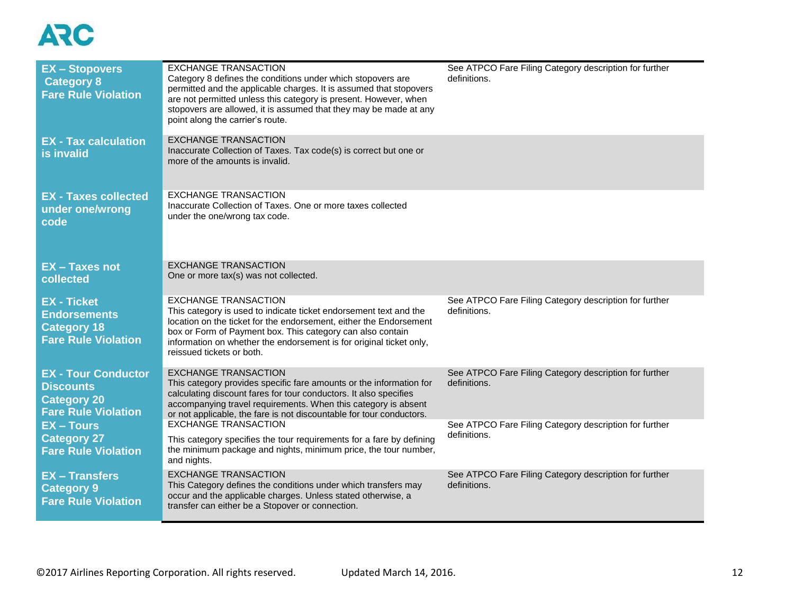| <b>EX-Stopovers</b><br><b>Category 8</b><br><b>Fare Rule Violation</b>                             | <b>EXCHANGE TRANSACTION</b><br>Category 8 defines the conditions under which stopovers are<br>permitted and the applicable charges. It is assumed that stopovers<br>are not permitted unless this category is present. However, when<br>stopovers are allowed, it is assumed that they may be made at any<br>point along the carrier's route. | See ATPCO Fare Filing Category description for further<br>definitions. |
|----------------------------------------------------------------------------------------------------|-----------------------------------------------------------------------------------------------------------------------------------------------------------------------------------------------------------------------------------------------------------------------------------------------------------------------------------------------|------------------------------------------------------------------------|
| <b>EX</b> - Tax calculation<br>is invalid                                                          | <b>EXCHANGE TRANSACTION</b><br>Inaccurate Collection of Taxes. Tax code(s) is correct but one or<br>more of the amounts is invalid.                                                                                                                                                                                                           |                                                                        |
| <b>EX - Taxes collected</b><br>under one/wrong<br>code                                             | <b>EXCHANGE TRANSACTION</b><br>Inaccurate Collection of Taxes. One or more taxes collected<br>under the one/wrong tax code.                                                                                                                                                                                                                   |                                                                        |
| <b>EX-Taxes not</b><br>collected                                                                   | <b>EXCHANGE TRANSACTION</b><br>One or more tax(s) was not collected.                                                                                                                                                                                                                                                                          |                                                                        |
| <b>EX - Ticket</b><br><b>Endorsements</b><br><b>Category 18</b><br><b>Fare Rule Violation</b>      | <b>EXCHANGE TRANSACTION</b><br>This category is used to indicate ticket endorsement text and the<br>location on the ticket for the endorsement, either the Endorsement<br>box or Form of Payment box. This category can also contain<br>information on whether the endorsement is for original ticket only,<br>reissued tickets or both.      | See ATPCO Fare Filing Category description for further<br>definitions. |
| <b>EX - Tour Conductor</b><br><b>Discounts</b><br><b>Category 20</b><br><b>Fare Rule Violation</b> | <b>EXCHANGE TRANSACTION</b><br>This category provides specific fare amounts or the information for<br>calculating discount fares for tour conductors. It also specifies<br>accompanying travel requirements. When this category is absent<br>or not applicable, the fare is not discountable for tour conductors.                             | See ATPCO Fare Filing Category description for further<br>definitions. |
| <b>EX-Tours</b><br><b>Category 27</b><br><b>Fare Rule Violation</b>                                | <b>EXCHANGE TRANSACTION</b><br>This category specifies the tour requirements for a fare by defining<br>the minimum package and nights, minimum price, the tour number,<br>and nights.                                                                                                                                                         | See ATPCO Fare Filing Category description for further<br>definitions. |
| <b>EX-Transfers</b><br><b>Category 9</b><br><b>Fare Rule Violation</b>                             | <b>EXCHANGE TRANSACTION</b><br>This Category defines the conditions under which transfers may<br>occur and the applicable charges. Unless stated otherwise, a<br>transfer can either be a Stopover or connection.                                                                                                                             | See ATPCO Fare Filing Category description for further<br>definitions. |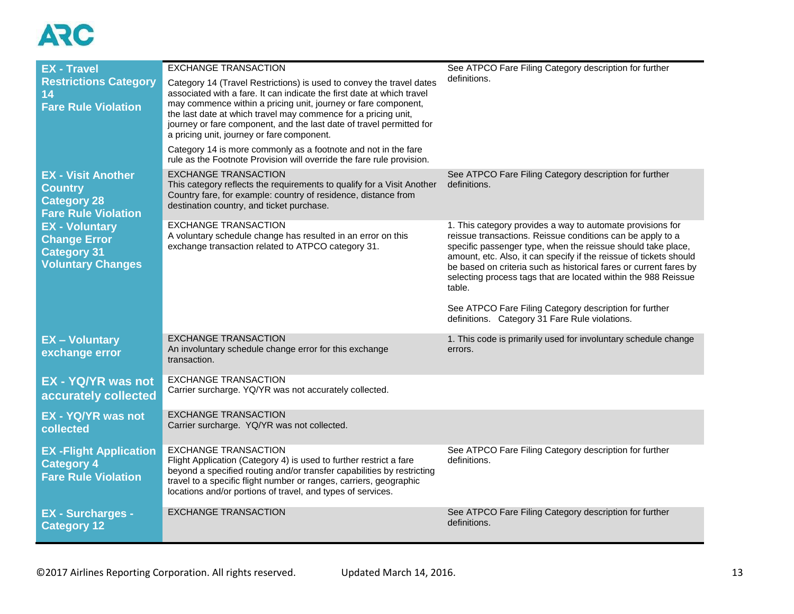| <b>EX - Travel</b>                                                                              | <b>EXCHANGE TRANSACTION</b>                                                                                                                                                                                                                                                                                                                                                                              | See ATPCO Fare Filing Category description for further                                                                                                                                                                                                                                                                                                                                                          |
|-------------------------------------------------------------------------------------------------|----------------------------------------------------------------------------------------------------------------------------------------------------------------------------------------------------------------------------------------------------------------------------------------------------------------------------------------------------------------------------------------------------------|-----------------------------------------------------------------------------------------------------------------------------------------------------------------------------------------------------------------------------------------------------------------------------------------------------------------------------------------------------------------------------------------------------------------|
| <b>Restrictions Category</b><br>14<br><b>Fare Rule Violation</b>                                | Category 14 (Travel Restrictions) is used to convey the travel dates<br>associated with a fare. It can indicate the first date at which travel<br>may commence within a pricing unit, journey or fare component,<br>the last date at which travel may commence for a pricing unit,<br>journey or fare component, and the last date of travel permitted for<br>a pricing unit, journey or fare component. | definitions.                                                                                                                                                                                                                                                                                                                                                                                                    |
|                                                                                                 | Category 14 is more commonly as a footnote and not in the fare<br>rule as the Footnote Provision will override the fare rule provision.                                                                                                                                                                                                                                                                  |                                                                                                                                                                                                                                                                                                                                                                                                                 |
| <b>EX - Visit Another</b><br><b>Country</b><br><b>Category 28</b><br><b>Fare Rule Violation</b> | <b>EXCHANGE TRANSACTION</b><br>This category reflects the requirements to qualify for a Visit Another<br>Country fare, for example: country of residence, distance from<br>destination country, and ticket purchase.                                                                                                                                                                                     | See ATPCO Fare Filing Category description for further<br>definitions.                                                                                                                                                                                                                                                                                                                                          |
| <b>EX - Voluntary</b><br><b>Change Error</b><br><b>Category 31</b><br><b>Voluntary Changes</b>  | <b>EXCHANGE TRANSACTION</b><br>A voluntary schedule change has resulted in an error on this<br>exchange transaction related to ATPCO category 31.                                                                                                                                                                                                                                                        | 1. This category provides a way to automate provisions for<br>reissue transactions. Reissue conditions can be apply to a<br>specific passenger type, when the reissue should take place,<br>amount, etc. Also, it can specify if the reissue of tickets should<br>be based on criteria such as historical fares or current fares by<br>selecting process tags that are located within the 988 Reissue<br>table. |
|                                                                                                 |                                                                                                                                                                                                                                                                                                                                                                                                          | See ATPCO Fare Filing Category description for further<br>definitions. Category 31 Fare Rule violations.                                                                                                                                                                                                                                                                                                        |
| <b>EX-Voluntary</b><br>exchange error                                                           | <b>EXCHANGE TRANSACTION</b><br>An involuntary schedule change error for this exchange<br>transaction.                                                                                                                                                                                                                                                                                                    | 1. This code is primarily used for involuntary schedule change<br>errors.                                                                                                                                                                                                                                                                                                                                       |
| <b>EX - YQ/YR was not</b><br>accurately collected                                               | <b>EXCHANGE TRANSACTION</b><br>Carrier surcharge. YQ/YR was not accurately collected.                                                                                                                                                                                                                                                                                                                    |                                                                                                                                                                                                                                                                                                                                                                                                                 |
| <b>EX - YQ/YR was not</b><br>collected                                                          | <b>EXCHANGE TRANSACTION</b><br>Carrier surcharge. YQ/YR was not collected.                                                                                                                                                                                                                                                                                                                               |                                                                                                                                                                                                                                                                                                                                                                                                                 |
| <b>EX-Flight Application</b><br><b>Category 4</b><br><b>Fare Rule Violation</b>                 | <b>EXCHANGE TRANSACTION</b><br>Flight Application (Category 4) is used to further restrict a fare<br>beyond a specified routing and/or transfer capabilities by restricting<br>travel to a specific flight number or ranges, carriers, geographic<br>locations and/or portions of travel, and types of services.                                                                                         | See ATPCO Fare Filing Category description for further<br>definitions.                                                                                                                                                                                                                                                                                                                                          |
| <b>EX - Surcharges -</b><br><b>Category 12</b>                                                  | <b>EXCHANGE TRANSACTION</b>                                                                                                                                                                                                                                                                                                                                                                              | See ATPCO Fare Filing Category description for further<br>definitions.                                                                                                                                                                                                                                                                                                                                          |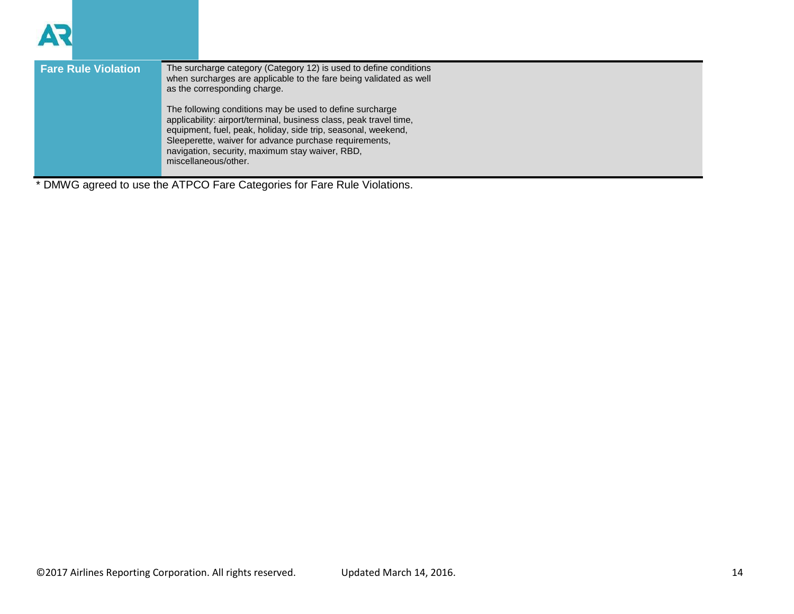| <b>Fare Rule Violation</b> | The surcharge category (Category 12) is used to define conditions<br>when surcharges are applicable to the fare being validated as well<br>as the corresponding charge.                                                                                                                                                              |
|----------------------------|--------------------------------------------------------------------------------------------------------------------------------------------------------------------------------------------------------------------------------------------------------------------------------------------------------------------------------------|
|                            | The following conditions may be used to define surcharge<br>applicability: airport/terminal, business class, peak travel time,<br>equipment, fuel, peak, holiday, side trip, seasonal, weekend,<br>Sleeperette, waiver for advance purchase requirements,<br>navigation, security, maximum stay waiver, RBD,<br>miscellaneous/other. |

\* DMWG agreed to use the ATPCO Fare Categories for Fare Rule Violations.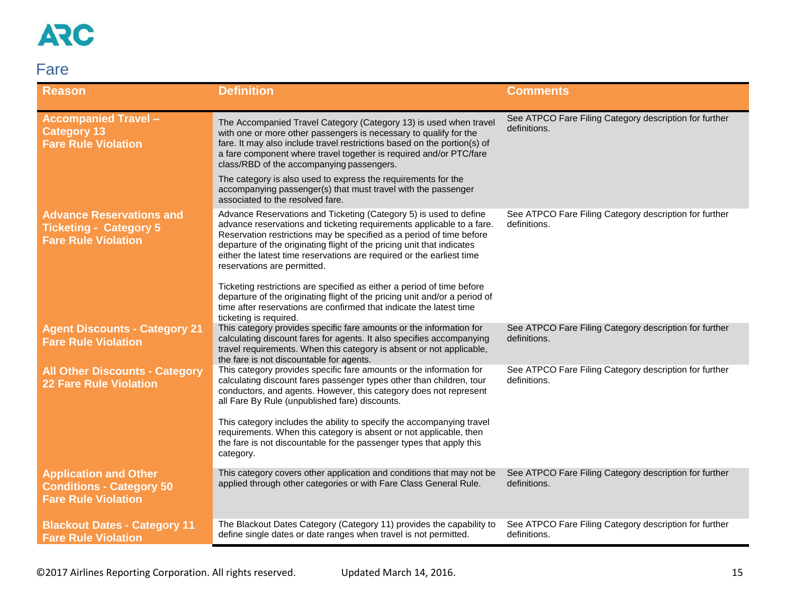

### <span id="page-14-0"></span>Fare

| <b>Reason</b>                                                                                  | <b>Definition</b>                                                                                                                                                                                                                                                                                                                                                                                    | <b>Comments</b>                                                        |
|------------------------------------------------------------------------------------------------|------------------------------------------------------------------------------------------------------------------------------------------------------------------------------------------------------------------------------------------------------------------------------------------------------------------------------------------------------------------------------------------------------|------------------------------------------------------------------------|
| <b>Accompanied Travel -</b><br><b>Category 13</b><br><b>Fare Rule Violation</b>                | The Accompanied Travel Category (Category 13) is used when travel<br>with one or more other passengers is necessary to qualify for the<br>fare. It may also include travel restrictions based on the portion(s) of<br>a fare component where travel together is required and/or PTC/fare<br>class/RBD of the accompanying passengers.                                                                | See ATPCO Fare Filing Category description for further<br>definitions. |
|                                                                                                | The category is also used to express the requirements for the<br>accompanying passenger(s) that must travel with the passenger<br>associated to the resolved fare.                                                                                                                                                                                                                                   |                                                                        |
| <b>Advance Reservations and</b><br><b>Ticketing - Category 5</b><br><b>Fare Rule Violation</b> | Advance Reservations and Ticketing (Category 5) is used to define<br>advance reservations and ticketing requirements applicable to a fare.<br>Reservation restrictions may be specified as a period of time before<br>departure of the originating flight of the pricing unit that indicates<br>either the latest time reservations are required or the earliest time<br>reservations are permitted. | See ATPCO Fare Filing Category description for further<br>definitions. |
|                                                                                                | Ticketing restrictions are specified as either a period of time before<br>departure of the originating flight of the pricing unit and/or a period of<br>time after reservations are confirmed that indicate the latest time<br>ticketing is required.                                                                                                                                                |                                                                        |
| <b>Agent Discounts - Category 21</b><br><b>Fare Rule Violation</b>                             | This category provides specific fare amounts or the information for<br>calculating discount fares for agents. It also specifies accompanying<br>travel requirements. When this category is absent or not applicable,<br>the fare is not discountable for agents.                                                                                                                                     | See ATPCO Fare Filing Category description for further<br>definitions. |
| <b>All Other Discounts - Category</b><br><b>22 Fare Rule Violation</b>                         | This category provides specific fare amounts or the information for<br>calculating discount fares passenger types other than children, tour<br>conductors, and agents. However, this category does not represent<br>all Fare By Rule (unpublished fare) discounts.<br>This category includes the ability to specify the accompanying travel                                                          | See ATPCO Fare Filing Category description for further<br>definitions. |
|                                                                                                | requirements. When this category is absent or not applicable, then<br>the fare is not discountable for the passenger types that apply this<br>category.                                                                                                                                                                                                                                              |                                                                        |
| <b>Application and Other</b><br><b>Conditions - Category 50</b><br><b>Fare Rule Violation</b>  | This category covers other application and conditions that may not be<br>applied through other categories or with Fare Class General Rule.                                                                                                                                                                                                                                                           | See ATPCO Fare Filing Category description for further<br>definitions. |
| <b>Blackout Dates - Category 11</b><br><b>Fare Rule Violation</b>                              | The Blackout Dates Category (Category 11) provides the capability to<br>define single dates or date ranges when travel is not permitted.                                                                                                                                                                                                                                                             | See ATPCO Fare Filing Category description for further<br>definitions. |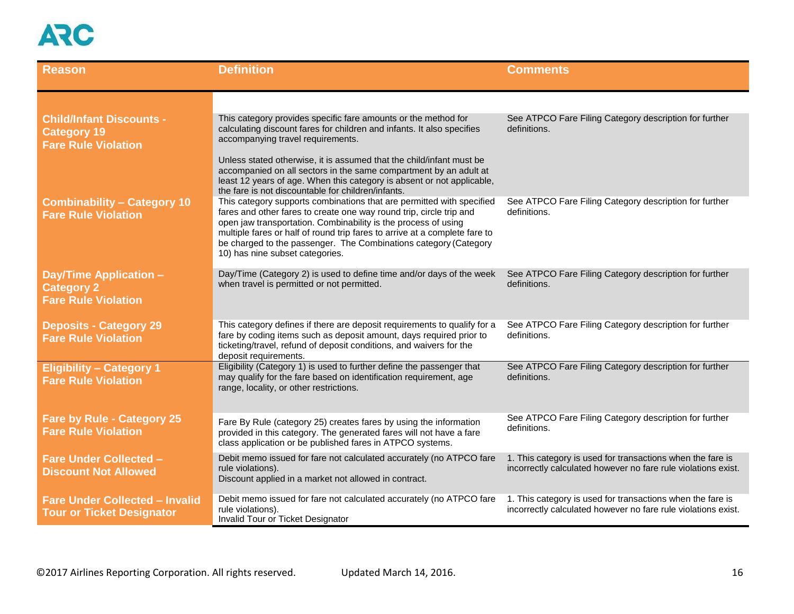| <b>Reason</b>                                                                       | <b>Definition</b>                                                                                                                                                                                                                                                                                                                                                                                   | <b>Comments</b>                                                                                                             |
|-------------------------------------------------------------------------------------|-----------------------------------------------------------------------------------------------------------------------------------------------------------------------------------------------------------------------------------------------------------------------------------------------------------------------------------------------------------------------------------------------------|-----------------------------------------------------------------------------------------------------------------------------|
|                                                                                     |                                                                                                                                                                                                                                                                                                                                                                                                     |                                                                                                                             |
| <b>Child/Infant Discounts -</b><br><b>Category 19</b><br><b>Fare Rule Violation</b> | This category provides specific fare amounts or the method for<br>calculating discount fares for children and infants. It also specifies<br>accompanying travel requirements.                                                                                                                                                                                                                       | See ATPCO Fare Filing Category description for further<br>definitions.                                                      |
|                                                                                     | Unless stated otherwise, it is assumed that the child/infant must be<br>accompanied on all sectors in the same compartment by an adult at<br>least 12 years of age. When this category is absent or not applicable,<br>the fare is not discountable for children/infants.                                                                                                                           |                                                                                                                             |
| <b>Combinability - Category 10</b><br><b>Fare Rule Violation</b>                    | This category supports combinations that are permitted with specified<br>fares and other fares to create one way round trip, circle trip and<br>open jaw transportation. Combinability is the process of using<br>multiple fares or half of round trip fares to arrive at a complete fare to<br>be charged to the passenger. The Combinations category (Category<br>10) has nine subset categories. | See ATPCO Fare Filing Category description for further<br>definitions.                                                      |
| <b>Day/Time Application -</b><br><b>Category 2</b><br><b>Fare Rule Violation</b>    | Day/Time (Category 2) is used to define time and/or days of the week<br>when travel is permitted or not permitted.                                                                                                                                                                                                                                                                                  | See ATPCO Fare Filing Category description for further<br>definitions.                                                      |
| <b>Deposits - Category 29</b><br><b>Fare Rule Violation</b>                         | This category defines if there are deposit requirements to qualify for a<br>fare by coding items such as deposit amount, days required prior to<br>ticketing/travel, refund of deposit conditions, and waivers for the<br>deposit requirements.                                                                                                                                                     | See ATPCO Fare Filing Category description for further<br>definitions.                                                      |
| <b>Eligibility - Category 1</b><br><b>Fare Rule Violation</b>                       | Eligibility (Category 1) is used to further define the passenger that<br>may qualify for the fare based on identification requirement, age<br>range, locality, or other restrictions.                                                                                                                                                                                                               | See ATPCO Fare Filing Category description for further<br>definitions.                                                      |
| <b>Fare by Rule - Category 25</b><br><b>Fare Rule Violation</b>                     | Fare By Rule (category 25) creates fares by using the information<br>provided in this category. The generated fares will not have a fare<br>class application or be published fares in ATPCO systems.                                                                                                                                                                                               | See ATPCO Fare Filing Category description for further<br>definitions.                                                      |
| <b>Fare Under Collected -</b><br><b>Discount Not Allowed</b>                        | Debit memo issued for fare not calculated accurately (no ATPCO fare<br>rule violations).<br>Discount applied in a market not allowed in contract.                                                                                                                                                                                                                                                   | 1. This category is used for transactions when the fare is<br>incorrectly calculated however no fare rule violations exist. |
| <b>Fare Under Collected - Invalid</b><br><b>Tour or Ticket Designator</b>           | Debit memo issued for fare not calculated accurately (no ATPCO fare<br>rule violations).<br>Invalid Tour or Ticket Designator                                                                                                                                                                                                                                                                       | 1. This category is used for transactions when the fare is<br>incorrectly calculated however no fare rule violations exist. |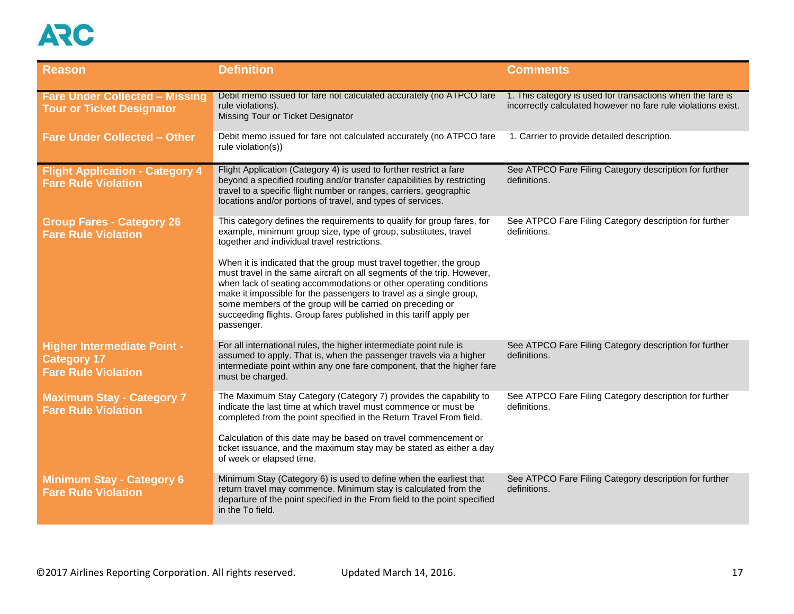

| <b>Reason</b>                                                                          | <b>Definition</b>                                                                                                                                                                                                                                                                                                                                                                                                                         | <b>Comments</b>                                                                                                             |
|----------------------------------------------------------------------------------------|-------------------------------------------------------------------------------------------------------------------------------------------------------------------------------------------------------------------------------------------------------------------------------------------------------------------------------------------------------------------------------------------------------------------------------------------|-----------------------------------------------------------------------------------------------------------------------------|
| <b>Fare Under Collected - Missing</b><br><b>Tour or Ticket Designator</b>              | Debit memo issued for fare not calculated accurately (no ATPCO fare<br>rule violations).<br>Missing Tour or Ticket Designator                                                                                                                                                                                                                                                                                                             | 1. This category is used for transactions when the fare is<br>incorrectly calculated however no fare rule violations exist. |
| <b>Fare Under Collected - Other</b>                                                    | Debit memo issued for fare not calculated accurately (no ATPCO fare<br>rule violation(s))                                                                                                                                                                                                                                                                                                                                                 | 1. Carrier to provide detailed description.                                                                                 |
| <b>Flight Application - Category 4</b><br><b>Fare Rule Violation</b>                   | Flight Application (Category 4) is used to further restrict a fare<br>beyond a specified routing and/or transfer capabilities by restricting<br>travel to a specific flight number or ranges, carriers, geographic<br>locations and/or portions of travel, and types of services.                                                                                                                                                         | See ATPCO Fare Filing Category description for further<br>definitions.                                                      |
| <b>Group Fares - Category 26</b><br><b>Fare Rule Violation</b>                         | This category defines the requirements to qualify for group fares, for<br>example, minimum group size, type of group, substitutes, travel<br>together and individual travel restrictions.                                                                                                                                                                                                                                                 | See ATPCO Fare Filing Category description for further<br>definitions.                                                      |
|                                                                                        | When it is indicated that the group must travel together, the group<br>must travel in the same aircraft on all segments of the trip. However,<br>when lack of seating accommodations or other operating conditions<br>make it impossible for the passengers to travel as a single group,<br>some members of the group will be carried on preceding or<br>succeeding flights. Group fares published in this tariff apply per<br>passenger. |                                                                                                                             |
| <b>Higher Intermediate Point -</b><br><b>Category 17</b><br><b>Fare Rule Violation</b> | For all international rules, the higher intermediate point rule is<br>assumed to apply. That is, when the passenger travels via a higher<br>intermediate point within any one fare component, that the higher fare<br>must be charged.                                                                                                                                                                                                    | See ATPCO Fare Filing Category description for further<br>definitions.                                                      |
| <b>Maximum Stay - Category 7</b><br><b>Fare Rule Violation</b>                         | The Maximum Stay Category (Category 7) provides the capability to<br>indicate the last time at which travel must commence or must be<br>completed from the point specified in the Return Travel From field.<br>Calculation of this date may be based on travel commencement or<br>ticket issuance, and the maximum stay may be stated as either a day<br>of week or elapsed time.                                                         | See ATPCO Fare Filing Category description for further<br>definitions.                                                      |
| <b>Minimum Stay - Category 6</b><br><b>Fare Rule Violation</b>                         | Minimum Stay (Category 6) is used to define when the earliest that<br>return travel may commence. Minimum stay is calculated from the<br>departure of the point specified in the From field to the point specified<br>in the To field.                                                                                                                                                                                                    | See ATPCO Fare Filing Category description for further<br>definitions.                                                      |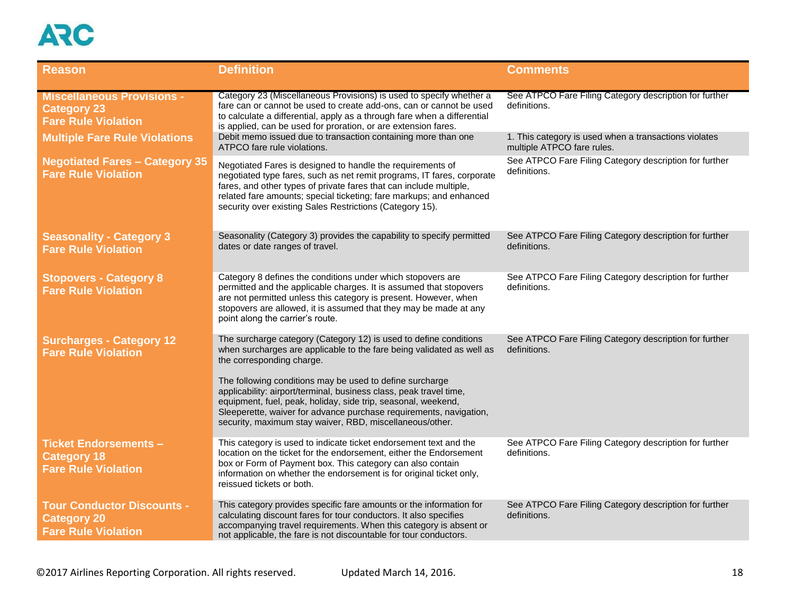| <b>Reason</b>                                                                         | <b>Definition</b>                                                                                                                                                                                                                                                                                                                                                                                                                                                                                            | <b>Comments</b>                                                                     |
|---------------------------------------------------------------------------------------|--------------------------------------------------------------------------------------------------------------------------------------------------------------------------------------------------------------------------------------------------------------------------------------------------------------------------------------------------------------------------------------------------------------------------------------------------------------------------------------------------------------|-------------------------------------------------------------------------------------|
| <b>Miscellaneous Provisions -</b><br><b>Category 23</b><br><b>Fare Rule Violation</b> | Category 23 (Miscellaneous Provisions) is used to specify whether a<br>fare can or cannot be used to create add-ons, can or cannot be used<br>to calculate a differential, apply as a through fare when a differential<br>is applied, can be used for proration, or are extension fares.                                                                                                                                                                                                                     | See ATPCO Fare Filing Category description for further<br>definitions.              |
| <b>Multiple Fare Rule Violations</b>                                                  | Debit memo issued due to transaction containing more than one<br>ATPCO fare rule violations.                                                                                                                                                                                                                                                                                                                                                                                                                 | 1. This category is used when a transactions violates<br>multiple ATPCO fare rules. |
| <b>Negotiated Fares - Category 35</b><br><b>Fare Rule Violation</b>                   | Negotiated Fares is designed to handle the requirements of<br>negotiated type fares, such as net remit programs, IT fares, corporate<br>fares, and other types of private fares that can include multiple,<br>related fare amounts; special ticketing; fare markups; and enhanced<br>security over existing Sales Restrictions (Category 15).                                                                                                                                                                | See ATPCO Fare Filing Category description for further<br>definitions.              |
| <b>Seasonality - Category 3</b><br><b>Fare Rule Violation</b>                         | Seasonality (Category 3) provides the capability to specify permitted<br>dates or date ranges of travel.                                                                                                                                                                                                                                                                                                                                                                                                     | See ATPCO Fare Filing Category description for further<br>definitions.              |
| <b>Stopovers - Category 8</b><br><b>Fare Rule Violation</b>                           | Category 8 defines the conditions under which stopovers are<br>permitted and the applicable charges. It is assumed that stopovers<br>are not permitted unless this category is present. However, when<br>stopovers are allowed, it is assumed that they may be made at any<br>point along the carrier's route.                                                                                                                                                                                               | See ATPCO Fare Filing Category description for further<br>definitions.              |
| <b>Surcharges - Category 12</b><br><b>Fare Rule Violation</b>                         | The surcharge category (Category 12) is used to define conditions<br>when surcharges are applicable to the fare being validated as well as<br>the corresponding charge.<br>The following conditions may be used to define surcharge<br>applicability: airport/terminal, business class, peak travel time,<br>equipment, fuel, peak, holiday, side trip, seasonal, weekend,<br>Sleeperette, waiver for advance purchase requirements, navigation,<br>security, maximum stay waiver, RBD, miscellaneous/other. | See ATPCO Fare Filing Category description for further<br>definitions.              |
| <b>Ticket Endorsements -</b><br><b>Category 18</b><br><b>Fare Rule Violation</b>      | This category is used to indicate ticket endorsement text and the<br>location on the ticket for the endorsement, either the Endorsement<br>box or Form of Payment box. This category can also contain<br>information on whether the endorsement is for original ticket only,<br>reissued tickets or both.                                                                                                                                                                                                    | See ATPCO Fare Filing Category description for further<br>definitions.              |
| <b>Tour Conductor Discounts -</b><br><b>Category 20</b><br><b>Fare Rule Violation</b> | This category provides specific fare amounts or the information for<br>calculating discount fares for tour conductors. It also specifies<br>accompanying travel requirements. When this category is absent or<br>not applicable, the fare is not discountable for tour conductors.                                                                                                                                                                                                                           | See ATPCO Fare Filing Category description for further<br>definitions.              |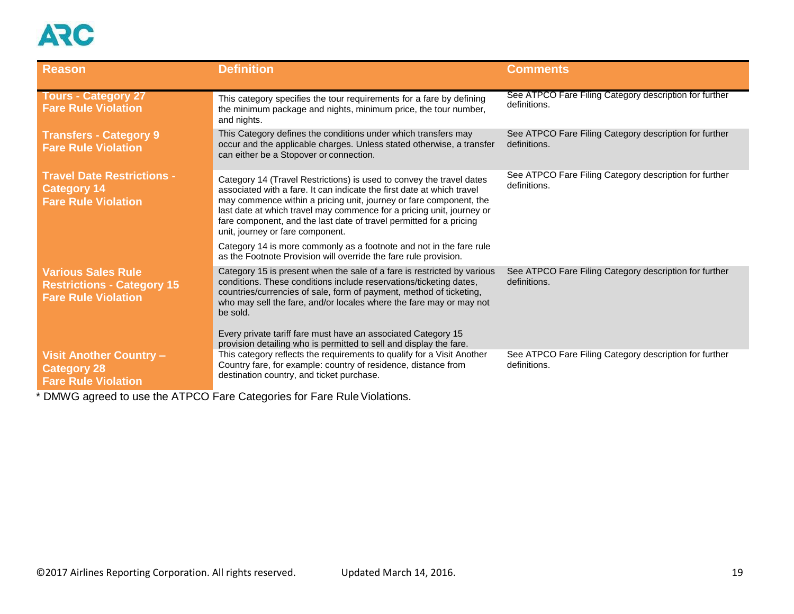| <b>Reason</b>                                                                                | <b>Definition</b>                                                                                                                                                                                                                                                                                                                                                                                        | <b>Comments</b>                                                        |
|----------------------------------------------------------------------------------------------|----------------------------------------------------------------------------------------------------------------------------------------------------------------------------------------------------------------------------------------------------------------------------------------------------------------------------------------------------------------------------------------------------------|------------------------------------------------------------------------|
| <b>Tours - Category 27</b><br><b>Fare Rule Violation</b>                                     | This category specifies the tour requirements for a fare by defining<br>the minimum package and nights, minimum price, the tour number,<br>and nights.                                                                                                                                                                                                                                                   | See ATPCO Fare Filing Category description for further<br>definitions. |
| <b>Transfers - Category 9</b><br><b>Fare Rule Violation</b>                                  | This Category defines the conditions under which transfers may<br>occur and the applicable charges. Unless stated otherwise, a transfer<br>can either be a Stopover or connection.                                                                                                                                                                                                                       | See ATPCO Fare Filing Category description for further<br>definitions. |
| <b>Travel Date Restrictions -</b><br><b>Category 14</b><br><b>Fare Rule Violation</b>        | Category 14 (Travel Restrictions) is used to convey the travel dates<br>associated with a fare. It can indicate the first date at which travel<br>may commence within a pricing unit, journey or fare component, the<br>last date at which travel may commence for a pricing unit, journey or<br>fare component, and the last date of travel permitted for a pricing<br>unit, journey or fare component. | See ATPCO Fare Filing Category description for further<br>definitions. |
|                                                                                              | Category 14 is more commonly as a footnote and not in the fare rule<br>as the Footnote Provision will override the fare rule provision.                                                                                                                                                                                                                                                                  |                                                                        |
| <b>Various Sales Rule</b><br><b>Restrictions - Category 15</b><br><b>Fare Rule Violation</b> | Category 15 is present when the sale of a fare is restricted by various<br>conditions. These conditions include reservations/ticketing dates,<br>countries/currencies of sale, form of payment, method of ticketing,<br>who may sell the fare, and/or locales where the fare may or may not<br>be sold.                                                                                                  | See ATPCO Fare Filing Category description for further<br>definitions. |
|                                                                                              | Every private tariff fare must have an associated Category 15<br>provision detailing who is permitted to sell and display the fare.                                                                                                                                                                                                                                                                      |                                                                        |
| <b>Visit Another Country -</b><br><b>Category 28</b><br><b>Fare Rule Violation</b>           | This category reflects the requirements to qualify for a Visit Another<br>Country fare, for example: country of residence, distance from<br>destination country, and ticket purchase.                                                                                                                                                                                                                    | See ATPCO Fare Filing Category description for further<br>definitions. |

\* DMWG agreed to use the ATPCO Fare Categories for Fare Rule Violations.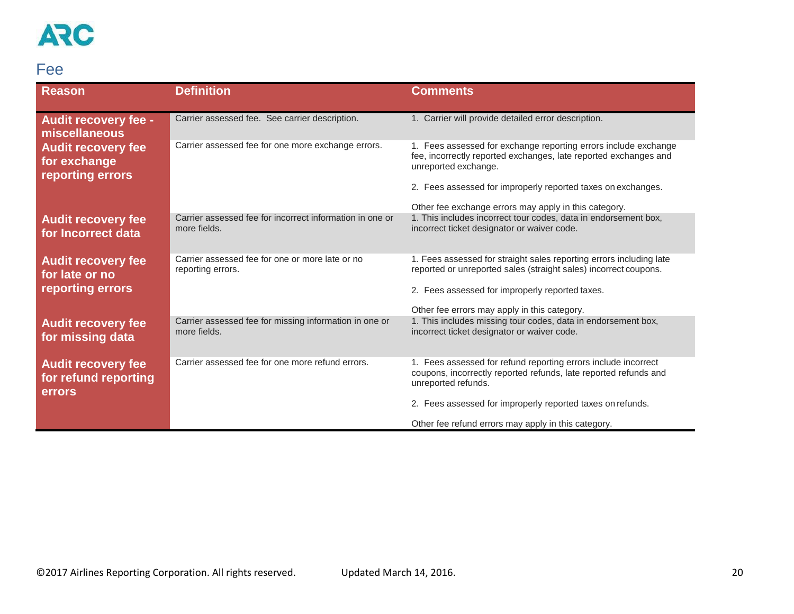### <span id="page-19-0"></span>Fee

| <b>Reason</b>                                                   | <b>Definition</b>                                                        | <b>Comments</b>                                                                                                                                                                            |
|-----------------------------------------------------------------|--------------------------------------------------------------------------|--------------------------------------------------------------------------------------------------------------------------------------------------------------------------------------------|
| <b>Audit recovery fee -</b><br>miscellaneous                    | Carrier assessed fee. See carrier description.                           | 1. Carrier will provide detailed error description.                                                                                                                                        |
| <b>Audit recovery fee</b><br>for exchange<br>reporting errors   | Carrier assessed fee for one more exchange errors.                       | 1. Fees assessed for exchange reporting errors include exchange<br>fee, incorrectly reported exchanges, late reported exchanges and<br>unreported exchange.                                |
|                                                                 |                                                                          | 2. Fees assessed for improperly reported taxes on exchanges.<br>Other fee exchange errors may apply in this category.                                                                      |
| <b>Audit recovery fee</b><br>for Incorrect data                 | Carrier assessed fee for incorrect information in one or<br>more fields. | 1. This includes incorrect tour codes, data in endorsement box,<br>incorrect ticket designator or waiver code.                                                                             |
| <b>Audit recovery fee</b><br>for late or no<br>reporting errors | Carrier assessed fee for one or more late or no<br>reporting errors.     | 1. Fees assessed for straight sales reporting errors including late<br>reported or unreported sales (straight sales) incorrect coupons.<br>2. Fees assessed for improperly reported taxes. |
|                                                                 |                                                                          | Other fee errors may apply in this category.                                                                                                                                               |
| <b>Audit recovery fee</b><br>for missing data                   | Carrier assessed fee for missing information in one or<br>more fields.   | 1. This includes missing tour codes, data in endorsement box,<br>incorrect ticket designator or waiver code.                                                                               |
| <b>Audit recovery fee</b><br>for refund reporting<br>errors     | Carrier assessed fee for one more refund errors.                         | 1. Fees assessed for refund reporting errors include incorrect<br>coupons, incorrectly reported refunds, late reported refunds and<br>unreported refunds.                                  |
|                                                                 |                                                                          | 2. Fees assessed for improperly reported taxes on refunds.                                                                                                                                 |
|                                                                 |                                                                          | Other fee refund errors may apply in this category.                                                                                                                                        |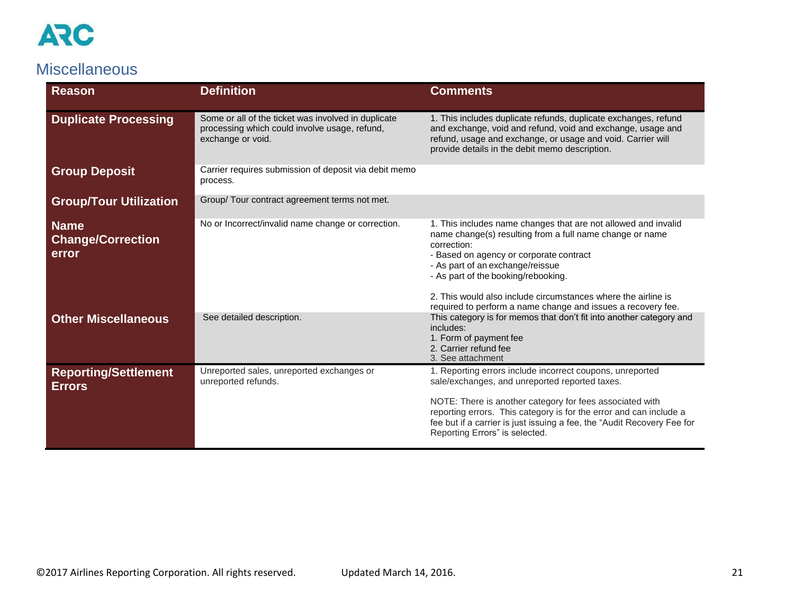

#### <span id="page-20-0"></span>**Miscellaneous**

| <b>Reason</b>                                    | <b>Definition</b>                                                                                                         | <b>Comments</b>                                                                                                                                                                                                                                                                                                                                                                                  |
|--------------------------------------------------|---------------------------------------------------------------------------------------------------------------------------|--------------------------------------------------------------------------------------------------------------------------------------------------------------------------------------------------------------------------------------------------------------------------------------------------------------------------------------------------------------------------------------------------|
| <b>Duplicate Processing</b>                      | Some or all of the ticket was involved in duplicate<br>processing which could involve usage, refund,<br>exchange or void. | 1. This includes duplicate refunds, duplicate exchanges, refund<br>and exchange, void and refund, void and exchange, usage and<br>refund, usage and exchange, or usage and void. Carrier will<br>provide details in the debit memo description.                                                                                                                                                  |
| <b>Group Deposit</b>                             | Carrier requires submission of deposit via debit memo<br>process.                                                         |                                                                                                                                                                                                                                                                                                                                                                                                  |
| <b>Group/Tour Utilization</b>                    | Group/ Tour contract agreement terms not met.                                                                             |                                                                                                                                                                                                                                                                                                                                                                                                  |
| <b>Name</b><br><b>Change/Correction</b><br>error | No or Incorrect/invalid name change or correction.                                                                        | 1. This includes name changes that are not allowed and invalid<br>name change(s) resulting from a full name change or name<br>correction:<br>- Based on agency or corporate contract<br>- As part of an exchange/reissue<br>- As part of the booking/rebooking.<br>2. This would also include circumstances where the airline is<br>required to perform a name change and issues a recovery fee. |
| <b>Other Miscellaneous</b>                       | See detailed description.                                                                                                 | This category is for memos that don't fit into another category and<br>includes:<br>1. Form of payment fee<br>2. Carrier refund fee<br>3. See attachment                                                                                                                                                                                                                                         |
| <b>Reporting/Settlement</b><br><b>Errors</b>     | Unreported sales, unreported exchanges or<br>unreported refunds.                                                          | 1. Reporting errors include incorrect coupons, unreported<br>sale/exchanges, and unreported reported taxes.<br>NOTE: There is another category for fees associated with<br>reporting errors. This category is for the error and can include a<br>fee but if a carrier is just issuing a fee, the "Audit Recovery Fee for<br>Reporting Errors" is selected.                                       |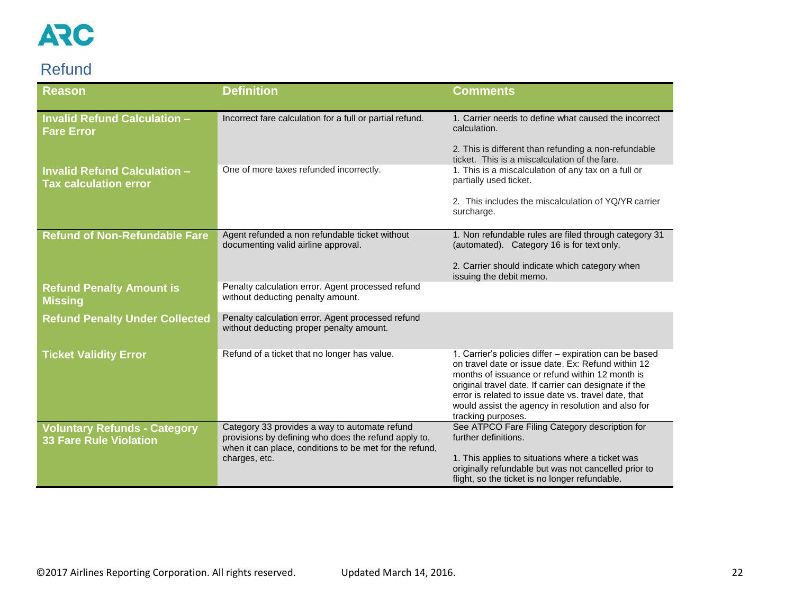

### <span id="page-21-0"></span>Refund

| <b>Invalid Refund Calculation -</b><br>Incorrect fare calculation for a full or partial refund.<br>calculation.<br><b>Fare Error</b><br>2. This is different than refunding a non-refundable<br>ticket. This is a miscalculation of the fare.<br>One of more taxes refunded incorrectly.<br>1. This is a miscalculation of any tax on a full or<br><b>Invalid Refund Calculation -</b><br>partially used ticket.<br><b>Tax calculation error</b><br>2. This includes the miscalculation of YQ/YR carrier<br>surcharge.<br><b>Refund of Non-Refundable Fare</b><br>Agent refunded a non refundable ticket without<br>documenting valid airline approval.<br>(automated). Category 16 is for text only.<br>2. Carrier should indicate which category when<br>issuing the debit memo.<br>Penalty calculation error. Agent processed refund<br><b>Refund Penalty Amount is</b><br>without deducting penalty amount.<br><b>Missing</b><br>Penalty calculation error. Agent processed refund<br><b>Refund Penalty Under Collected</b><br>without deducting proper penalty amount.<br>Refund of a ticket that no longer has value.<br>1. Carrier's policies differ - expiration can be based<br><b>Ticket Validity Error</b><br>on travel date or issue date. Ex: Refund within 12<br>months of issuance or refund within 12 month is<br>original travel date. If carrier can designate if the<br>error is related to issue date vs. travel date, that<br>would assist the agency in resolution and also for | <b>Reason</b> | <b>Definition</b> | <b>Comments</b>                                       |
|-------------------------------------------------------------------------------------------------------------------------------------------------------------------------------------------------------------------------------------------------------------------------------------------------------------------------------------------------------------------------------------------------------------------------------------------------------------------------------------------------------------------------------------------------------------------------------------------------------------------------------------------------------------------------------------------------------------------------------------------------------------------------------------------------------------------------------------------------------------------------------------------------------------------------------------------------------------------------------------------------------------------------------------------------------------------------------------------------------------------------------------------------------------------------------------------------------------------------------------------------------------------------------------------------------------------------------------------------------------------------------------------------------------------------------------------------------------------------------------------------------|---------------|-------------------|-------------------------------------------------------|
|                                                                                                                                                                                                                                                                                                                                                                                                                                                                                                                                                                                                                                                                                                                                                                                                                                                                                                                                                                                                                                                                                                                                                                                                                                                                                                                                                                                                                                                                                                       |               |                   | 1. Carrier needs to define what caused the incorrect  |
|                                                                                                                                                                                                                                                                                                                                                                                                                                                                                                                                                                                                                                                                                                                                                                                                                                                                                                                                                                                                                                                                                                                                                                                                                                                                                                                                                                                                                                                                                                       |               |                   |                                                       |
|                                                                                                                                                                                                                                                                                                                                                                                                                                                                                                                                                                                                                                                                                                                                                                                                                                                                                                                                                                                                                                                                                                                                                                                                                                                                                                                                                                                                                                                                                                       |               |                   |                                                       |
|                                                                                                                                                                                                                                                                                                                                                                                                                                                                                                                                                                                                                                                                                                                                                                                                                                                                                                                                                                                                                                                                                                                                                                                                                                                                                                                                                                                                                                                                                                       |               |                   |                                                       |
|                                                                                                                                                                                                                                                                                                                                                                                                                                                                                                                                                                                                                                                                                                                                                                                                                                                                                                                                                                                                                                                                                                                                                                                                                                                                                                                                                                                                                                                                                                       |               |                   | 1. Non refundable rules are filed through category 31 |
|                                                                                                                                                                                                                                                                                                                                                                                                                                                                                                                                                                                                                                                                                                                                                                                                                                                                                                                                                                                                                                                                                                                                                                                                                                                                                                                                                                                                                                                                                                       |               |                   |                                                       |
|                                                                                                                                                                                                                                                                                                                                                                                                                                                                                                                                                                                                                                                                                                                                                                                                                                                                                                                                                                                                                                                                                                                                                                                                                                                                                                                                                                                                                                                                                                       |               |                   |                                                       |
|                                                                                                                                                                                                                                                                                                                                                                                                                                                                                                                                                                                                                                                                                                                                                                                                                                                                                                                                                                                                                                                                                                                                                                                                                                                                                                                                                                                                                                                                                                       |               |                   |                                                       |
|                                                                                                                                                                                                                                                                                                                                                                                                                                                                                                                                                                                                                                                                                                                                                                                                                                                                                                                                                                                                                                                                                                                                                                                                                                                                                                                                                                                                                                                                                                       |               |                   | tracking purposes.                                    |
| See ATPCO Fare Filing Category description for<br><b>Voluntary Refunds - Category</b><br>Category 33 provides a way to automate refund<br>provisions by defining who does the refund apply to,<br>further definitions.<br><b>33 Fare Rule Violation</b><br>when it can place, conditions to be met for the refund,<br>charges, etc.<br>1. This applies to situations where a ticket was<br>originally refundable but was not cancelled prior to<br>flight, so the ticket is no longer refundable.                                                                                                                                                                                                                                                                                                                                                                                                                                                                                                                                                                                                                                                                                                                                                                                                                                                                                                                                                                                                     |               |                   |                                                       |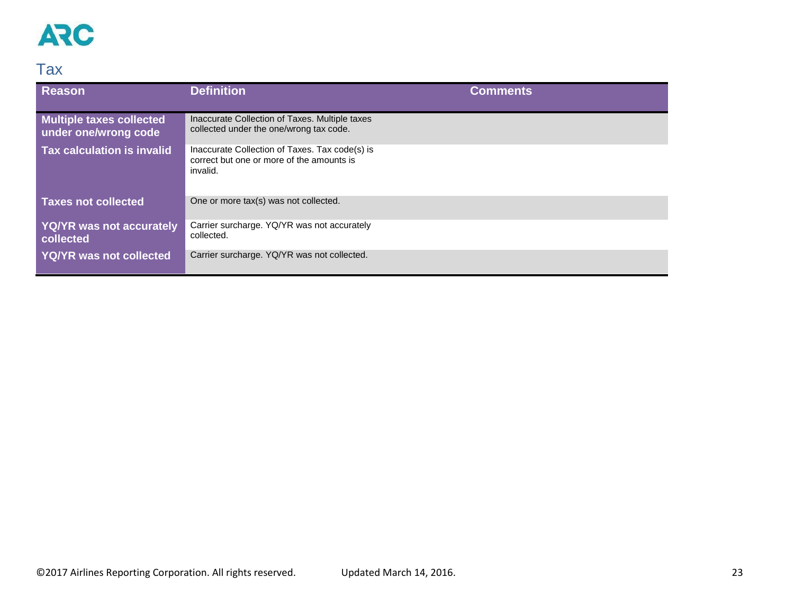

### <span id="page-22-0"></span>Tax

| <b>Reason</b>                                    | <b>Definition</b>                                                                                       | <b>Comments</b> |
|--------------------------------------------------|---------------------------------------------------------------------------------------------------------|-----------------|
| Multiple taxes collected<br>under one/wrong code | Inaccurate Collection of Taxes. Multiple taxes<br>collected under the one/wrong tax code.               |                 |
| Tax calculation is invalid                       | Inaccurate Collection of Taxes. Tax code(s) is<br>correct but one or more of the amounts is<br>invalid. |                 |
| <b>Taxes not collected</b>                       | One or more tax(s) was not collected.                                                                   |                 |
| <b>YQ/YR was not accurately</b><br>collected     | Carrier surcharge. YQ/YR was not accurately<br>collected.                                               |                 |
| <b>YQ/YR was not collected</b>                   | Carrier surcharge. YQ/YR was not collected.                                                             |                 |